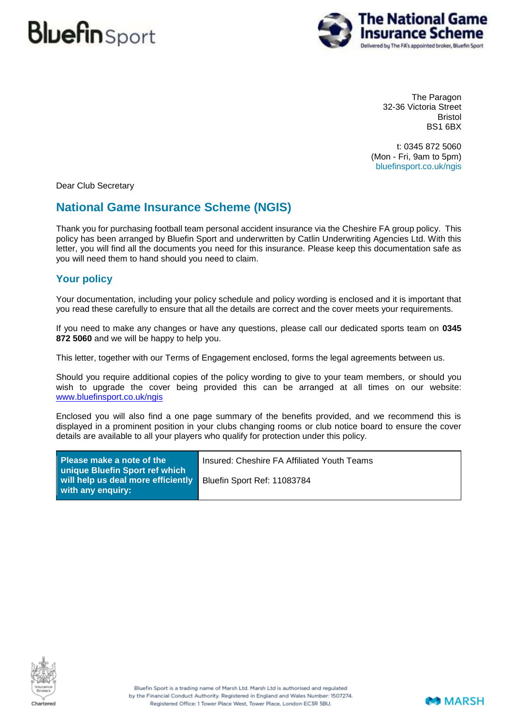

The Paragon 32-36 Victoria Street Bristol BS1 6BX

t: 0345 872 5060 (Mon - Fri, 9am to 5pm) bluefinsport.co.uk/ngis

Dear Club Secretary

### **National Game Insurance Scheme (NGIS)**

Thank you for purchasing football team personal accident insurance via the Cheshire FA group policy. This policy has been arranged by Bluefin Sport and underwritten by Catlin Underwriting Agencies Ltd. With this letter, you will find all the documents you need for this insurance. Please keep this documentation safe as you will need them to hand should you need to claim.

#### **Your policy**

Your documentation, including your policy schedule and policy wording is enclosed and it is important that you read these carefully to ensure that all the details are correct and the cover meets your requirements.

If you need to make any changes or have any questions, please call our dedicated sports team on **0345 872 5060** and we will be happy to help you.

This letter, together with our Terms of Engagement enclosed, forms the legal agreements between us.

Should you require additional copies of the policy wording to give to your team members, or should you wish to upgrade the cover being provided this can be arranged at all times on our website: [www.bluefinsport.co.uk/ngis](http://www.bluefinsport.co.uk/ngis)

Enclosed you will also find a one page summary of the benefits provided, and we recommend this is displayed in a prominent position in your clubs changing rooms or club notice board to ensure the cover details are available to all your players who qualify for protection under this policy.

| <b>Please make a note of the</b><br>unique Bluefin Sport ref which | Insured: Cheshire FA Affiliated Youth Teams |
|--------------------------------------------------------------------|---------------------------------------------|
| will help us deal more efficiently<br>with any enguiry:            | Bluefin Sport Ref: 11083784                 |



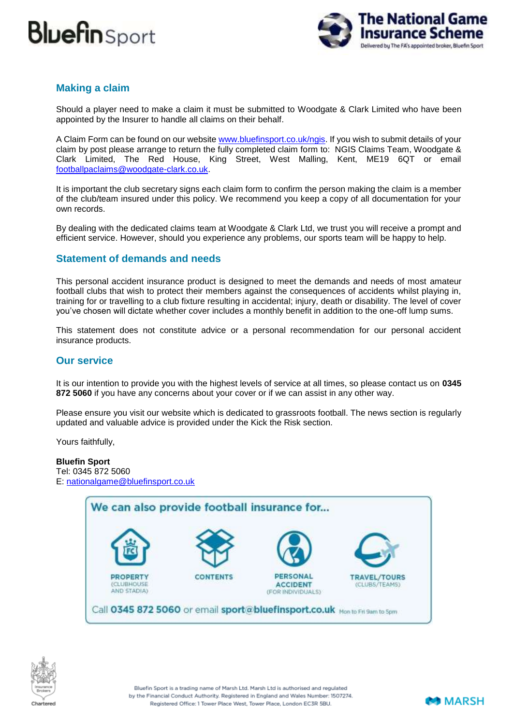

#### **Making a claim**

Should a player need to make a claim it must be submitted to Woodgate & Clark Limited who have been appointed by the Insurer to handle all claims on their behalf.

A Claim Form can be found on our website [www.bluefinsport.co.uk/ngis.](http://www.bluefinsport.co.uk/ngis) If you wish to submit details of your claim by post please arrange to return the fully completed claim form to: NGIS Claims Team, Woodgate & Clark Limited, The Red House, King Street, West Malling, Kent, ME19 6QT or email [footballpaclaims@woodgate-clark.co.uk.](mailto:footballpaclaims@woodgate-clark.co.uk)

It is important the club secretary signs each claim form to confirm the person making the claim is a member of the club/team insured under this policy. We recommend you keep a copy of all documentation for your own records.

By dealing with the dedicated claims team at Woodgate & Clark Ltd, we trust you will receive a prompt and efficient service. However, should you experience any problems, our sports team will be happy to help.

#### **Statement of demands and needs**

This personal accident insurance product is designed to meet the demands and needs of most amateur football clubs that wish to protect their members against the consequences of accidents whilst playing in, training for or travelling to a club fixture resulting in accidental; injury, death or disability. The level of cover you've chosen will dictate whether cover includes a monthly benefit in addition to the one-off lump sums.

This statement does not constitute advice or a personal recommendation for our personal accident insurance products.

#### **Our service**

It is our intention to provide you with the highest levels of service at all times, so please contact us on **0345 872 5060** if you have any concerns about your cover or if we can assist in any other way.

Please ensure you visit our website which is dedicated to grassroots football. The news section is regularly updated and valuable advice is provided under the Kick the Risk section.

Yours faithfully,

**Bluefin Sport** Tel: 0345 872 5060 E: [nationalgame@bluefinsport.co.uk](mailto:nationalgame@bluefinsport.co.uk)





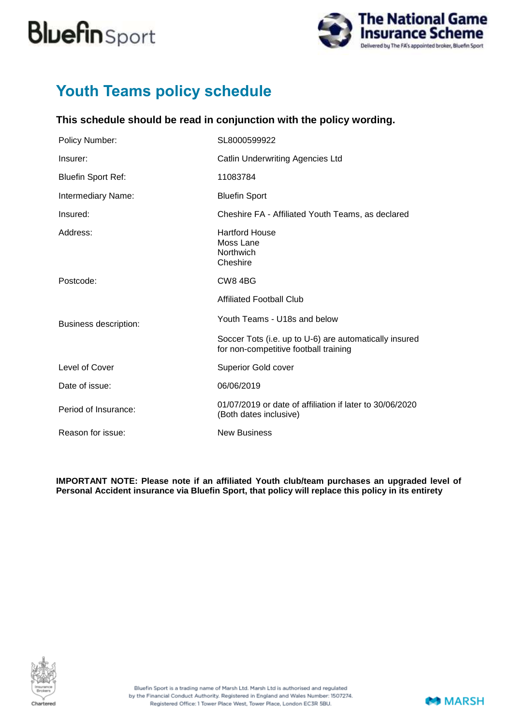

## **Youth Teams policy schedule**

### **This schedule should be read in conjunction with the policy wording.**

| <b>Policy Number:</b>        | SL8000599922                                                                                    |
|------------------------------|-------------------------------------------------------------------------------------------------|
| Insurer:                     | <b>Catlin Underwriting Agencies Ltd</b>                                                         |
| <b>Bluefin Sport Ref:</b>    | 11083784                                                                                        |
| Intermediary Name:           | <b>Bluefin Sport</b>                                                                            |
| Insured:                     | Cheshire FA - Affiliated Youth Teams, as declared                                               |
| Address:                     | <b>Hartford House</b><br>Moss Lane<br>Northwich<br>Cheshire                                     |
| Postcode:                    | CW84BG                                                                                          |
|                              | <b>Affiliated Football Club</b>                                                                 |
| <b>Business description:</b> | Youth Teams - U18s and below                                                                    |
|                              | Soccer Tots (i.e. up to U-6) are automatically insured<br>for non-competitive football training |
| Level of Cover               | <b>Superior Gold cover</b>                                                                      |
| Date of issue:               | 06/06/2019                                                                                      |
| Period of Insurance:         | 01/07/2019 or date of affiliation if later to 30/06/2020<br>(Both dates inclusive)              |
| Reason for issue:            | <b>New Business</b>                                                                             |

**IMPORTANT NOTE: Please note if an affiliated Youth club/team purchases an upgraded level of Personal Accident insurance via Bluefin Sport, that policy will replace this policy in its entirety**



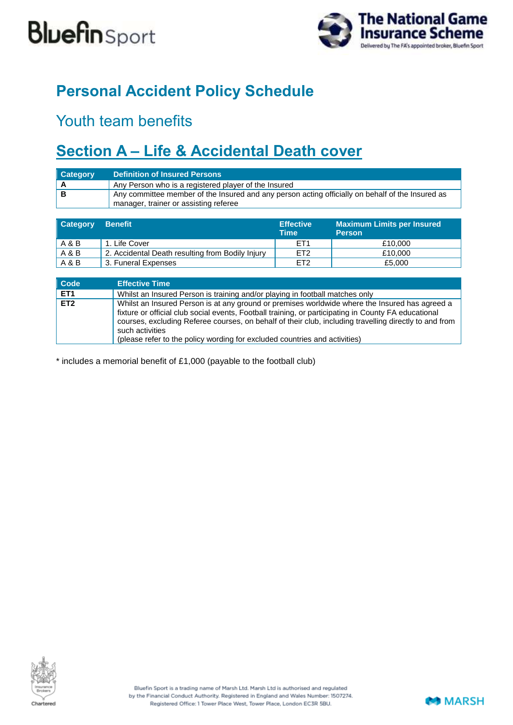

## **Personal Accident Policy Schedule**

## Youth team benefits

## **Section A – Life & Accidental Death cover**

| <b>Category</b> | Definition of Insured Persons                                                                                                             |
|-----------------|-------------------------------------------------------------------------------------------------------------------------------------------|
|                 | Any Person who is a registered player of the Insured                                                                                      |
|                 | Any committee member of the Insured and any person acting officially on behalf of the Insured as<br>manager, trainer or assisting referee |

| <b>Category</b> | <b>Benefit</b>                                   | <b>Effective</b><br>Time | <b>Maximum Limits per Insured</b><br><b>Person</b> |
|-----------------|--------------------------------------------------|--------------------------|----------------------------------------------------|
| A & B           | . Life Cover                                     | FT <sub>1</sub>          | £10,000                                            |
| A & B           | 2. Accidental Death resulting from Bodily Injury | ET <sub>2</sub>          | £10,000                                            |
| A & B           | 3. Funeral Expenses                              | ET <sub>2</sub>          | £5,000                                             |

| <b>Code</b>     | <b>Effective Time</b>                                                                                                                                                                                                                                                                                                                                                                                             |
|-----------------|-------------------------------------------------------------------------------------------------------------------------------------------------------------------------------------------------------------------------------------------------------------------------------------------------------------------------------------------------------------------------------------------------------------------|
| ET <sub>1</sub> | Whilst an Insured Person is training and/or playing in football matches only                                                                                                                                                                                                                                                                                                                                      |
| ET2             | Whilst an Insured Person is at any ground or premises worldwide where the Insured has agreed a<br>fixture or official club social events, Football training, or participating in County FA educational<br>courses, excluding Referee courses, on behalf of their club, including travelling directly to and from<br>such activities<br>(please refer to the policy wording for excluded countries and activities) |

\* includes a memorial benefit of £1,000 (payable to the football club)



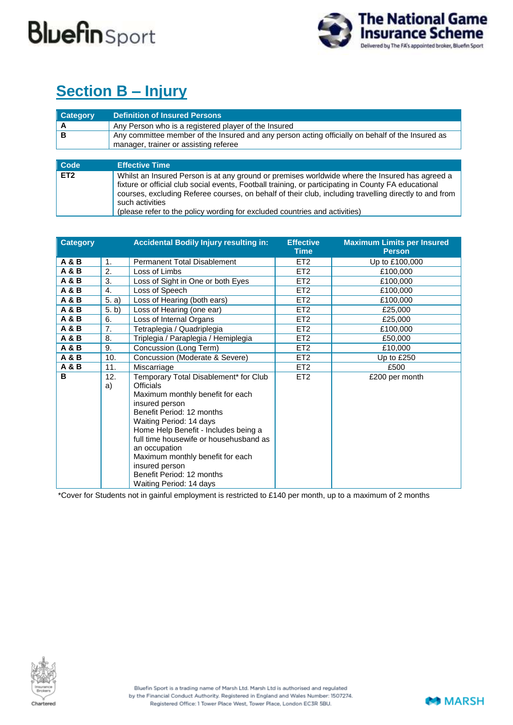

## **Section B – Injury**

| <b>Category</b> | <b>Definition of Insured Persons</b>                                                                                                      |
|-----------------|-------------------------------------------------------------------------------------------------------------------------------------------|
|                 | Any Person who is a registered player of the Insured                                                                                      |
| В               | Any committee member of the Insured and any person acting officially on behalf of the Insured as<br>manager, trainer or assisting referee |
|                 |                                                                                                                                           |

| Code            | <b>Effective Time</b>                                                                                                                                                                                                                                                                                                                                                                                             |
|-----------------|-------------------------------------------------------------------------------------------------------------------------------------------------------------------------------------------------------------------------------------------------------------------------------------------------------------------------------------------------------------------------------------------------------------------|
| ET <sub>2</sub> | Whilst an Insured Person is at any ground or premises worldwide where the Insured has agreed a<br>fixture or official club social events, Football training, or participating in County FA educational<br>courses, excluding Referee courses, on behalf of their club, including travelling directly to and from<br>such activities<br>(please refer to the policy wording for excluded countries and activities) |

| <b>Category</b> |           | <b>Accidental Bodily Injury resulting in:</b>                                                                                                                                                                                                                                                                                                                                            | <b>Effective</b><br>Time | <b>Maximum Limits per Insured</b><br><b>Person</b> |
|-----------------|-----------|------------------------------------------------------------------------------------------------------------------------------------------------------------------------------------------------------------------------------------------------------------------------------------------------------------------------------------------------------------------------------------------|--------------------------|----------------------------------------------------|
| <b>A&amp;B</b>  | 1.        | <b>Permanent Total Disablement</b>                                                                                                                                                                                                                                                                                                                                                       | ET <sub>2</sub>          | Up to £100,000                                     |
| <b>A&amp;B</b>  | 2.        | Loss of Limbs                                                                                                                                                                                                                                                                                                                                                                            | ET <sub>2</sub>          | £100,000                                           |
| A & B           | 3.        | Loss of Sight in One or both Eyes                                                                                                                                                                                                                                                                                                                                                        | ET <sub>2</sub>          | £100,000                                           |
| <b>A&amp;B</b>  | 4.        | Loss of Speech                                                                                                                                                                                                                                                                                                                                                                           | ET <sub>2</sub>          | £100,000                                           |
| A & B           | 5. a)     | Loss of Hearing (both ears)                                                                                                                                                                                                                                                                                                                                                              | ET <sub>2</sub>          | £100,000                                           |
| <b>A&amp;B</b>  | 5. b)     | Loss of Hearing (one ear)                                                                                                                                                                                                                                                                                                                                                                | ET <sub>2</sub>          | £25,000                                            |
| <b>A&amp;B</b>  | 6.        | Loss of Internal Organs                                                                                                                                                                                                                                                                                                                                                                  | ET <sub>2</sub>          | £25,000                                            |
| <b>A&amp;B</b>  | 7.        | Tetraplegia / Quadriplegia                                                                                                                                                                                                                                                                                                                                                               | ET <sub>2</sub>          | £100,000                                           |
| <b>A&amp;B</b>  | 8.        | Triplegia / Paraplegia / Hemiplegia                                                                                                                                                                                                                                                                                                                                                      | ET <sub>2</sub>          | £50,000                                            |
| <b>A&amp;B</b>  | 9.        | Concussion (Long Term)                                                                                                                                                                                                                                                                                                                                                                   | ET <sub>2</sub>          | £10,000                                            |
| <b>A&amp;B</b>  | 10.       | Concussion (Moderate & Severe)                                                                                                                                                                                                                                                                                                                                                           | ET <sub>2</sub>          | Up to £250                                         |
| <b>A&amp;B</b>  | 11.       | Miscarriage                                                                                                                                                                                                                                                                                                                                                                              | ET <sub>2</sub>          | £500                                               |
| B               | 12.<br>a) | Temporary Total Disablement* for Club<br><b>Officials</b><br>Maximum monthly benefit for each<br>insured person<br>Benefit Period: 12 months<br>Waiting Period: 14 days<br>Home Help Benefit - Includes being a<br>full time housewife or househusband as<br>an occupation<br>Maximum monthly benefit for each<br>insured person<br>Benefit Period: 12 months<br>Waiting Period: 14 days | ET <sub>2</sub>          | £200 per month                                     |

\*Cover for Students not in gainful employment is restricted to £140 per month, up to a maximum of 2 months



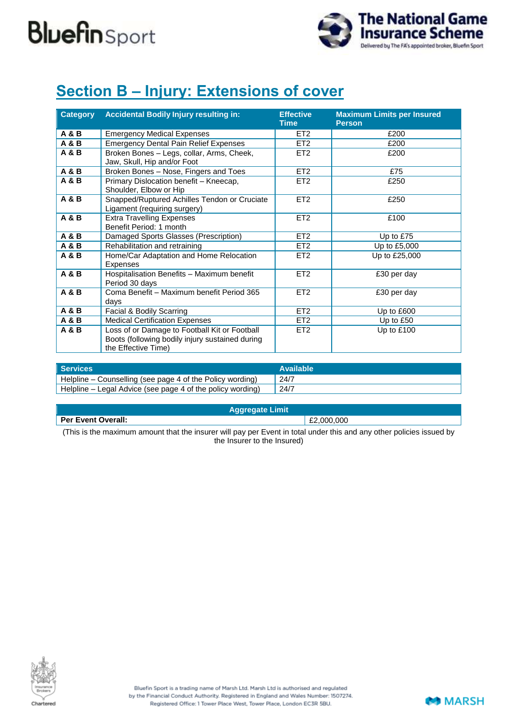

## **Section B – Injury: Extensions of cover**

| <b>Category</b> | <b>Accidental Bodily Injury resulting in:</b>                                                                           | <b>Effective</b><br><b>Time</b> | <b>Maximum Limits per Insured</b><br><b>Person</b> |
|-----------------|-------------------------------------------------------------------------------------------------------------------------|---------------------------------|----------------------------------------------------|
| A & B           | <b>Emergency Medical Expenses</b>                                                                                       | ET <sub>2</sub>                 | £200                                               |
| A & B           | <b>Emergency Dental Pain Relief Expenses</b>                                                                            | ET <sub>2</sub>                 | £200                                               |
| <b>A&amp;B</b>  | Broken Bones - Legs, collar, Arms, Cheek,<br>Jaw, Skull, Hip and/or Foot                                                | ET <sub>2</sub>                 | £200                                               |
| A & B           | Broken Bones - Nose, Fingers and Toes                                                                                   | ET <sub>2</sub>                 | £75                                                |
| A & B           | Primary Dislocation benefit - Kneecap,<br>Shoulder, Elbow or Hip                                                        | ET <sub>2</sub>                 | £250                                               |
| <b>A&amp;B</b>  | Snapped/Ruptured Achilles Tendon or Cruciate<br>Ligament (requiring surgery)                                            | ET <sub>2</sub>                 | £250                                               |
| <b>A&amp;B</b>  | <b>Extra Travelling Expenses</b><br>Benefit Period: 1 month                                                             | ET <sub>2</sub>                 | £100                                               |
| <b>A&amp;B</b>  | Damaged Sports Glasses (Prescription)                                                                                   | ET <sub>2</sub>                 | Up to £75                                          |
| <b>A&amp;B</b>  | Rehabilitation and retraining                                                                                           | ET <sub>2</sub>                 | Up to £5,000                                       |
| <b>A&amp;B</b>  | Home/Car Adaptation and Home Relocation<br>Expenses                                                                     | ET <sub>2</sub>                 | Up to £25,000                                      |
| A & B           | Hospitalisation Benefits - Maximum benefit<br>Period 30 days                                                            | ET <sub>2</sub>                 | £30 per day                                        |
| <b>A&amp;B</b>  | Coma Benefit - Maximum benefit Period 365<br>days                                                                       | ET <sub>2</sub>                 | £30 per day                                        |
| <b>A&amp;B</b>  | Facial & Bodily Scarring                                                                                                | ET <sub>2</sub>                 | Up to £600                                         |
| A & B           | <b>Medical Certification Expenses</b>                                                                                   | ET <sub>2</sub>                 | Up to £50                                          |
| <b>A&amp;B</b>  | Loss of or Damage to Football Kit or Football<br>Boots (following bodily injury sustained during<br>the Effective Time) | ET <sub>2</sub>                 | Up to £100                                         |

| <b>Services</b>                                            | Available |
|------------------------------------------------------------|-----------|
| Helpline – Counselling (see page 4 of the Policy wording)  | , 24/7    |
| Helpline – Legal Advice (see page 4 of the policy wording) | , 24/7    |

#### **Aggregate Limit**

#### **Per Event Overall:**  $\sqrt{2,000,000}$

(This is the maximum amount that the insurer will pay per Event in total under this and any other policies issued by the Insurer to the Insured)



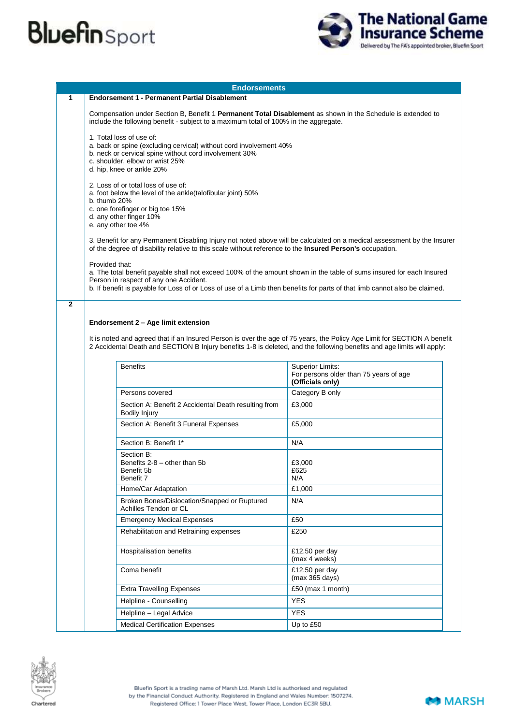

|              | <b>Endorsements</b>                                                                                                                                                                                                                                                                                            |                                                                                                                                                                                                     |  |  |
|--------------|----------------------------------------------------------------------------------------------------------------------------------------------------------------------------------------------------------------------------------------------------------------------------------------------------------------|-----------------------------------------------------------------------------------------------------------------------------------------------------------------------------------------------------|--|--|
| 1            | <b>Endorsement 1 - Permanent Partial Disablement</b>                                                                                                                                                                                                                                                           |                                                                                                                                                                                                     |  |  |
|              |                                                                                                                                                                                                                                                                                                                | Compensation under Section B, Benefit 1 Permanent Total Disablement as shown in the Schedule is extended to<br>include the following benefit - subject to a maximum total of 100% in the aggregate. |  |  |
|              | 1. Total loss of use of:<br>a. back or spine (excluding cervical) without cord involvement 40%<br>b. neck or cervical spine without cord involvement 30%<br>c. shoulder, elbow or wrist 25%<br>d. hip, knee or ankle 20%                                                                                       |                                                                                                                                                                                                     |  |  |
|              | 2. Loss of or total loss of use of:<br>a. foot below the level of the ankle(talofibular joint) 50%<br>b. thumb $20%$<br>c. one forefinger or big toe 15%<br>d. any other finger 10%<br>e. any other toe 4%                                                                                                     |                                                                                                                                                                                                     |  |  |
|              | 3. Benefit for any Permanent Disabling Injury not noted above will be calculated on a medical assessment by the Insurer<br>of the degree of disability relative to this scale without reference to the <b>Insured Person's</b> occupation.                                                                     |                                                                                                                                                                                                     |  |  |
|              | Provided that:<br>a. The total benefit payable shall not exceed 100% of the amount shown in the table of sums insured for each Insured<br>Person in respect of any one Accident.<br>b. If benefit is payable for Loss of or Loss of use of a Limb then benefits for parts of that limb cannot also be claimed. |                                                                                                                                                                                                     |  |  |
| $\mathbf{2}$ |                                                                                                                                                                                                                                                                                                                |                                                                                                                                                                                                     |  |  |
|              | Endorsement 2 - Age limit extension<br>It is noted and agreed that if an Insured Person is over the age of 75 years, the Policy Age Limit for SECTION A benefit<br>2 Accidental Death and SECTION B Injury benefits 1-8 is deleted, and the following benefits and age limits will apply:<br><b>Benefits</b>   | <b>Superior Limits:</b>                                                                                                                                                                             |  |  |
|              |                                                                                                                                                                                                                                                                                                                | For persons older than 75 years of age<br>(Officials only)                                                                                                                                          |  |  |
|              | Persons covered                                                                                                                                                                                                                                                                                                | Category B only                                                                                                                                                                                     |  |  |
|              | Section A: Benefit 2 Accidental Death resulting from<br>Bodily Injury                                                                                                                                                                                                                                          | £3,000                                                                                                                                                                                              |  |  |
|              | Section A: Benefit 3 Funeral Expenses                                                                                                                                                                                                                                                                          | £5,000                                                                                                                                                                                              |  |  |
|              | Section B: Benefit 1*                                                                                                                                                                                                                                                                                          | N/A                                                                                                                                                                                                 |  |  |
|              | Section B:<br>Benefits $2-8$ – other than 5b<br>Benefit 5b<br>Benefit 7                                                                                                                                                                                                                                        | £3,000<br>£625<br>N/A                                                                                                                                                                               |  |  |
|              | Home/Car Adaptation                                                                                                                                                                                                                                                                                            | £1,000                                                                                                                                                                                              |  |  |
|              | Broken Bones/Dislocation/Snapped or Ruptured<br>Achilles Tendon or CL                                                                                                                                                                                                                                          | N/A                                                                                                                                                                                                 |  |  |
|              | <b>Emergency Medical Expenses</b>                                                                                                                                                                                                                                                                              | £50                                                                                                                                                                                                 |  |  |
|              | Rehabilitation and Retraining expenses                                                                                                                                                                                                                                                                         | £250                                                                                                                                                                                                |  |  |
|              | Hospitalisation benefits                                                                                                                                                                                                                                                                                       | £12.50 per day<br>(max 4 weeks)                                                                                                                                                                     |  |  |
|              | Coma benefit                                                                                                                                                                                                                                                                                                   | £12.50 per day<br>(max 365 days)                                                                                                                                                                    |  |  |
|              | <b>Extra Travelling Expenses</b>                                                                                                                                                                                                                                                                               | £50 (max 1 month)                                                                                                                                                                                   |  |  |
|              | Helpline - Counselling                                                                                                                                                                                                                                                                                         | <b>YES</b>                                                                                                                                                                                          |  |  |
|              | Helpline - Legal Advice                                                                                                                                                                                                                                                                                        | <b>YES</b>                                                                                                                                                                                          |  |  |
|              | <b>Medical Certification Expenses</b>                                                                                                                                                                                                                                                                          | Up to £50                                                                                                                                                                                           |  |  |